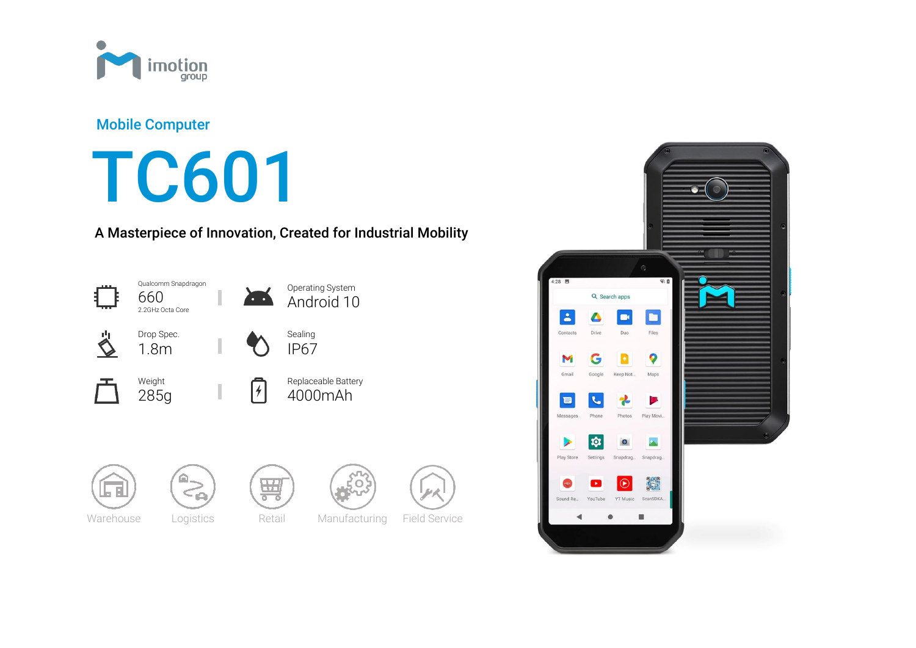

### Mobile Computer

TC601

## A Masterpiece of Innovation, Created for Industrial Mobility